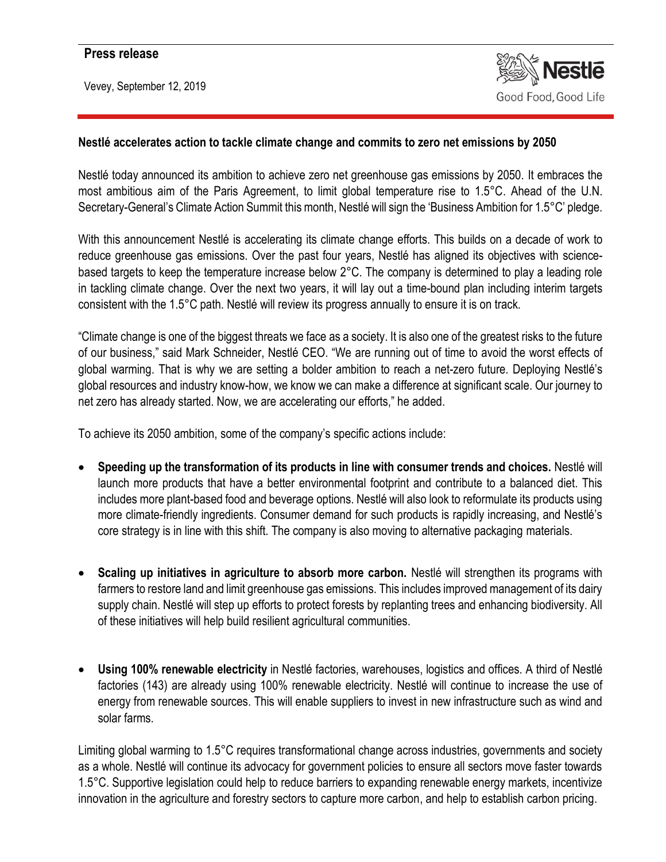## **Press release**

Vevey, September 12, 2019



## **Nestlé accelerates action to tackle climate change and commits to zero net emissions by 2050**

Nestlé today announced its ambition to achieve zero net greenhouse gas emissions by 2050. It embraces the most ambitious aim of the Paris Agreement, to limit global temperature rise to 1.5°C. Ahead of the U.N. Secretary-General's Climate Action Summit this month, Nestlé will sign the 'Business Ambition for 1.5°C' pledge.

With this announcement Nestlé is accelerating its climate change efforts. This builds on a decade of work to reduce greenhouse gas emissions. Over the past four years, Nestlé has aligned its objectives with sciencebased targets to keep the temperature increase below 2°C. The company is determined to play a leading role in tackling climate change. Over the next two years, it will lay out a time-bound plan including interim targets consistent with the 1.5°C path. Nestlé will review its progress annually to ensure it is on track.

"Climate change is one of the biggest threats we face as a society. It is also one of the greatest risks to the future of our business," said Mark Schneider, Nestlé CEO. "We are running out of time to avoid the worst effects of global warming. That is why we are setting a bolder ambition to reach a net-zero future. Deploying Nestlé's global resources and industry know-how, we know we can make a difference at significant scale. Our journey to net zero has already started. Now, we are accelerating our efforts," he added.

To achieve its 2050 ambition, some of the company's specific actions include:

- **Speeding up the transformation of its products in line with consumer trends and choices.** Nestlé will launch more products that have a better environmental footprint and contribute to a balanced diet. This includes more plant-based food and beverage options. Nestlé will also look to reformulate its products using more climate-friendly ingredients. Consumer demand for such products is rapidly increasing, and Nestlé's core strategy is in line with this shift. The company is also moving to alternative packaging materials.
- **Scaling up initiatives in agriculture to absorb more carbon.** Nestlé will strengthen its programs with farmers to restore land and limit greenhouse gas emissions. This includes improved management of its dairy supply chain. Nestlé will step up efforts to protect forests by replanting trees and enhancing biodiversity. All of these initiatives will help build resilient agricultural communities.
- **Using 100% renewable electricity** in Nestlé factories, warehouses, logistics and offices. A third of Nestlé factories (143) are already using 100% renewable electricity. Nestlé will continue to increase the use of energy from renewable sources. This will enable suppliers to invest in new infrastructure such as wind and solar farms.

Limiting global warming to 1.5°C requires transformational change across industries, governments and society as a whole. Nestlé will continue its advocacy for government policies to ensure all sectors move faster towards 1.5°C. Supportive legislation could help to reduce barriers to expanding renewable energy markets, incentivize innovation in the agriculture and forestry sectors to capture more carbon, and help to establish carbon pricing.